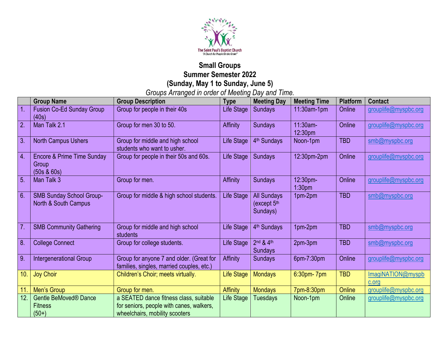

## **Small Groups Summer Semester 2022 (Sunday, May 1 to Sunday, June 5)**

*Groups Arranged in order of Meeting Day and Time.*

|                  | <b>Group Name</b>                                             | <b>Group Description</b>                                                              | <b>Type</b>     | <b>Meeting Day</b>                              | <b>Meeting Time</b>            | Platform      | <b>Contact</b>             |
|------------------|---------------------------------------------------------------|---------------------------------------------------------------------------------------|-----------------|-------------------------------------------------|--------------------------------|---------------|----------------------------|
| $\overline{1}$   | <b>Fusion Co-Ed Sunday Group</b><br>(40s)                     | Group for people in their 40s                                                         | Life Stage      | Sundays                                         | $11:30$ am-1pm                 | Online        | grouplife@myspbc.org       |
| $\boxed{2}$      | Man Talk 2.1                                                  | Group for men 30 to 50.                                                               | Affinity        | <b>Sundays</b>                                  | $11:30am -$<br>12:30pm         | Online        | grouplife@myspbc.org       |
| 3.               | <b>North Campus Ushers</b>                                    | Group for middle and high school<br>students who want to usher.                       | Life Stage      | 4 <sup>th</sup> Sundays                         | Noon-1pm                       | <b>TBD</b>    | smb@myspbc.org             |
| $\overline{4}$   | <b>Encore &amp; Prime Time Sunday</b><br>Group<br>(50s & 60s) | Group for people in their 50s and 60s.                                                | Life Stage      | Sundays                                         | 12:30pm-2pm                    | Online        | grouplife@myspbc.org       |
| $\overline{5}$   | Man Talk 3                                                    | Group for men.                                                                        | Affinity        | <b>Sundays</b>                                  | 12:30pm-<br>1:30 <sub>pm</sub> | Online        | grouplife@myspbc.org       |
| 6.               | <b>SMB Sunday School Group-</b><br>North & South Campus       | Group for middle & high school students.                                              | Life Stage      | <b>All Sundays</b><br>(except $5th$<br>Sundays) | 1pm-2pm                        | <b>TBD</b>    | smb@myspbc.org             |
| $\overline{7}$ . | <b>SMB Community Gathering</b>                                | Group for middle and high school<br>students                                          | Life Stage      | 4 <sup>th</sup> Sundays                         | 1pm-2pm                        | <b>TBD</b>    | smb@myspbc.org             |
| 8.               | <b>College Connect</b>                                        | Group for college students.                                                           | Life Stage      | 2nd & 4th<br><b>Sundays</b>                     | 2pm-3pm                        | <b>TBD</b>    | smb@myspbc.org             |
| 9.               | <b>Intergenerational Group</b>                                | Group for anyone 7 and older. (Great for<br>families, singles, married couples, etc.) | <b>Affinity</b> | <b>Sundays</b>                                  | 6pm-7:30pm                     | Online        | grouplife@myspbc.org       |
| 10.              | <b>Joy Choir</b>                                              | Children's Choir; meets virtually.                                                    | Life Stage      | <b>Mondays</b>                                  | $6:30$ pm- $7$ pm              | <b>TBD</b>    | ImagiNATION@myspb<br>c.org |
| 11.              | Men's Group                                                   | Group for men.                                                                        | <b>Affinity</b> | <b>Mondays</b>                                  | 7pm-8:30pm                     | <b>Online</b> | grouplife@myspbc.org       |
| 12.              | Gentle BeMoved <sup>®</sup> Dance                             | a SEATED dance fitness class, suitable                                                | Life Stage      | <b>Tuesdays</b>                                 | Noon-1pm                       | Online        | grouplife@myspbc.org       |
|                  | <b>Fitness</b>                                                | for seniors, people with canes, walkers,                                              |                 |                                                 |                                |               |                            |
|                  | $(50+)$                                                       | wheelchairs, mobility scooters                                                        |                 |                                                 |                                |               |                            |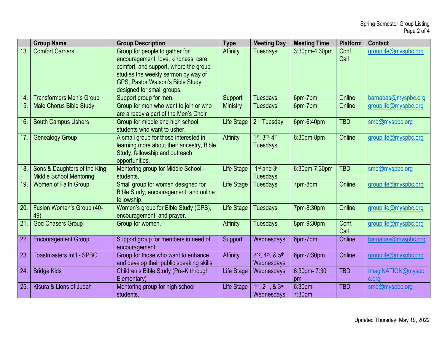|                 | <b>Group Name</b>                                              | <b>Group Description</b>                                                                                                                                                                                                 | <b>Type</b>       | <b>Meeting Day</b>                            | <b>Meeting Time</b>           | <b>Platform</b> | <b>Contact</b>             |
|-----------------|----------------------------------------------------------------|--------------------------------------------------------------------------------------------------------------------------------------------------------------------------------------------------------------------------|-------------------|-----------------------------------------------|-------------------------------|-----------------|----------------------------|
| 13.             | <b>Comfort Carriers</b>                                        | Group for people to gather for<br>encouragement, love, kindness, care,<br>comfort, and support, where the group<br>studies the weekly sermon by way of<br>GPS, Pastor Watson's Bible Study<br>designed for small groups. | Affinity          | <b>Tuesdays</b>                               | 3:30pm-4:30pm                 | Conf.<br>Call   | grouplife@myspbc.org       |
| 14.             | <b>Transformers Men's Group</b>                                | Support group for men.                                                                                                                                                                                                   | Support           | <b>Tuesdays</b>                               | 6pm-7pm                       | Online          | barnabas@myspbc.org        |
| 15.             | <b>Male Chorus Bible Study</b>                                 | Group for men who want to join or who<br>are already a part of the Men's Choir                                                                                                                                           | <b>Ministry</b>   | <b>Tuesdays</b>                               | 6pm-7pm                       | Online          | grouplife@myspbc.org       |
| 16.             | <b>South Campus Ushers</b>                                     | Group for middle and high school<br>students who want to usher.                                                                                                                                                          | <b>Life Stage</b> | 2 <sup>nd</sup> Tuesday                       | 6pm-6:40pm                    | <b>TBD</b>      | smb@myspbc.org             |
| 17.             | <b>Genealogy Group</b>                                         | A small group for those interested in<br>learning more about their ancestry, Bible<br>Study, fellowship and outreach<br>opportunities.                                                                                   | Affinity          | 1st <sub>, 3rd</sub> , 4th<br><b>Tuesdays</b> | $6:30$ pm-8pm                 | Online          | grouplife@myspbc.org       |
| 18.             | Sons & Daughters of the King<br><b>Middle School Mentoring</b> | Mentoring group for Middle School -<br>students.                                                                                                                                                                         | <b>Life Stage</b> | 1 <sup>st</sup> and 3rd<br><b>Tuesdays</b>    | 6:30pm-7:30pm                 | <b>TBD</b>      | smb@myspbc.org             |
| 19.             | <b>Women of Faith Group</b>                                    | Small group for women designed for<br>Bible Study, encouragement, and online<br>fellowship.                                                                                                                              | <b>Life Stage</b> | <b>Tuesdays</b>                               | 7pm-8pm                       | Online          | grouplife@myspbc.org       |
| $\overline{20}$ | Fusion Women's Group (40-<br>49)                               | Women's group for Bible Study (GPS),<br>encouragement, and prayer.                                                                                                                                                       | Life Stage        | <b>Tuesdays</b>                               | 7pm-8:30pm                    | Online          | grouplife@myspbc.org       |
| 21.             | <b>God Chasers Group</b>                                       | Group for women.                                                                                                                                                                                                         | Affinity          | <b>Tuesdays</b>                               | 8pm-9:30pm                    | Conf.<br>Call   | grouplife@myspbc.org       |
| $\overline{22}$ | <b>Encouragement Group</b>                                     | Support group for members in need of<br>encouragement.                                                                                                                                                                   | Support           | Wednesdays                                    | 6pm-7pm                       | Online          | barnabas@myspbc.org        |
| 23.             | <b>Toastmasters Int'l - SPBC</b>                               | Group for those who want to enhance<br>and develop their public speaking skills.                                                                                                                                         | Affinity          | 2nd, 4th, & 5th<br>Wednesdays                 | 6pm-7:30pm                    | Online          | grouplife@myspbc.org       |
| 24.             | <b>Bridge Kids</b>                                             | Children's Bible Study (Pre-K through<br>Elementary)                                                                                                                                                                     | <b>Life Stage</b> | Wednesdays                                    | 6:30pm-7:30<br>pm             | <b>TBD</b>      | ImagiNATION@myspb<br>c.org |
| 25.             | Kisura & Lions of Judah                                        | Mentoring group for high school<br>students.                                                                                                                                                                             | <b>Life Stage</b> | 1st, 2nd, & 3rd<br>Wednesdays                 | 6:30pm-<br>7:30 <sub>pm</sub> | <b>TBD</b>      | smb@myspbc.org             |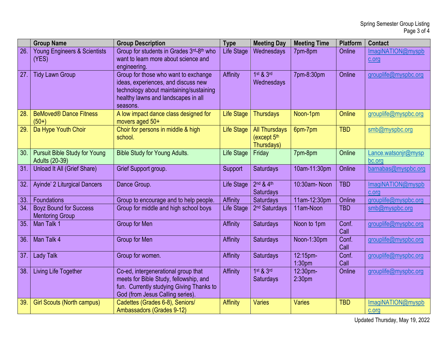|                 | <b>Group Name</b>                                             | <b>Group Description</b>                                                                                                                                                  | <b>Type</b>       | <b>Meeting Day</b>                                | <b>Meeting Time</b>            | <b>Platform</b> | <b>Contact</b>                |
|-----------------|---------------------------------------------------------------|---------------------------------------------------------------------------------------------------------------------------------------------------------------------------|-------------------|---------------------------------------------------|--------------------------------|-----------------|-------------------------------|
| $\overline{26}$ | <b>Young Engineers &amp; Scientists</b><br>(YES)              | Group for students in Grades 3rd-8th who<br>want to learn more about science and<br>engineering.                                                                          | <b>Life Stage</b> | Wednesdays                                        | 7pm-8pm                        | Online          | ImagiNATION@myspb<br>c.org    |
| 27.             | <b>Tidy Lawn Group</b>                                        | Group for those who want to exchange<br>ideas, experiences, and discuss new<br>technology about maintaining/sustaining<br>healthy lawns and landscapes in all<br>seasons. | Affinity          | $1st$ & $3rd$<br>Wednesdays                       | 7pm-8:30pm                     | Online          | grouplife@myspbc.org          |
| 28.             | <b>BeMoved<sup>®</sup> Dance Fitness</b><br>$(50+)$           | A low impact dance class designed for<br>movers aged 50+                                                                                                                  | <b>Life Stage</b> | <b>Thursdays</b>                                  | Noon-1pm                       | Online          | grouplife@myspbc.org          |
| 29.             | Da Hype Youth Choir                                           | Choir for persons in middle & high<br>school.                                                                                                                             | <b>Life Stage</b> | <b>All Thursdays</b><br>(except 5th<br>Thursdays) | 6pm-7pm                        | <b>TBD</b>      | smb@myspbc.org                |
| 30.             | <b>Pursuit Bible Study for Young</b><br><b>Adults (20-39)</b> | <b>Bible Study for Young Adults.</b>                                                                                                                                      | Life Stage        | Friday                                            | 7pm-8pm                        | Online          | Lance.watsonjr@mysp<br>bc.org |
| 31.             | Unload It All (Grief Share)                                   | Grief Support group.                                                                                                                                                      | Support           | <b>Saturdays</b>                                  | 10am-11:30pm                   | Online          | barnabas@myspbc.org           |
| 32.             | Ayinde' 2 Liturgical Dancers                                  | Dance Group.                                                                                                                                                              | <b>Life Stage</b> | 2nd & 4th<br>Saturdays                            | 10:30am-Noon                   | <b>TBD</b>      | ImagiNATION@myspb<br>c.org    |
| 33.             | Foundations                                                   | Group to encourage and to help people.                                                                                                                                    | Affinity          | <b>Saturdays</b>                                  | 11am-12:30pm                   | Online          | grouplife@myspbc.org          |
| 34.             | <b>Boyz Bound for Success</b><br><b>Mentoring Group</b>       | Group for middle and high school boys                                                                                                                                     | <b>Life Stage</b> | 2 <sup>nd</sup> Saturdays                         | 11am-Noon                      | <b>TBD</b>      | smb@myspbc.org                |
| 35.             | Man Talk 1                                                    | Group for Men                                                                                                                                                             | <b>Affinity</b>   | <b>Saturdays</b>                                  | Noon to 1pm                    | Conf.<br>Call   | grouplife@myspbc.org          |
| 36.             | Man Talk 4                                                    | Group for Men                                                                                                                                                             | <b>Affinity</b>   | <b>Saturdays</b>                                  | Noon-1:30pm                    | Conf.<br>Call   | grouplife@myspbc.org          |
| 37.             | <b>Lady Talk</b>                                              | Group for women.                                                                                                                                                          | Affinity          | <b>Saturdays</b>                                  | 12:15pm-<br>1:30 <sub>pm</sub> | Conf.<br>Call   | grouplife@myspbc.org          |
| 38.             | Living Life Together                                          | Co-ed, intergenerational group that<br>meets for Bible Study, fellowship, and<br>fun. Currently studying Giving Thanks to<br>God (from Jesus Calling series).             | Affinity          | $1st$ & $3rd$<br><b>Saturdays</b>                 | 12:30pm-<br>2:30 <sub>pm</sub> | Online          | grouplife@myspbc.org          |
| 39.             | <b>Girl Scouts (North campus)</b>                             | Cadettes (Grades 6-8), Seniors/<br>Ambassadors (Grades 9-12)                                                                                                              | <b>Affinity</b>   | <b>Varies</b>                                     | <b>Varies</b>                  | <b>TBD</b>      | ImagiNATION@myspb<br>c.org    |

Updated Thursday, May 19, 2022